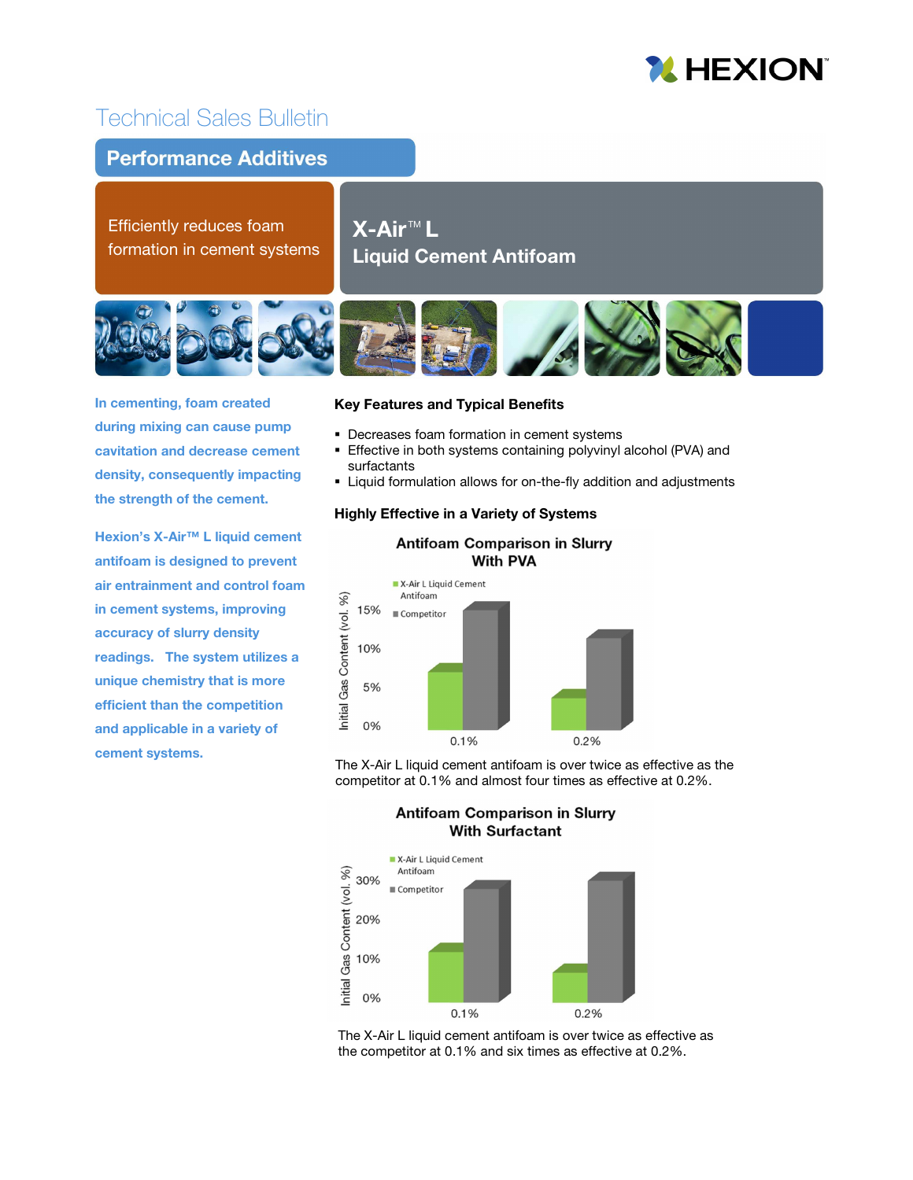# **MHEXION**

## Technical Sales Bulletin

### **Performance Additives**

Efficiently reduces foam formation in cement systems

 $\mathsf{X}\text{-}\mathsf{Air}^{\scriptscriptstyle \top \!\! \!\! \mathsf{M}}$  L  $\vdash$ Liquid Cement Antifoam



In cementing, foam created during mixing can cause pump cavitation and decrease cement density, consequently impacting the strength of the cement.

Hexion's X-Air™ L liquid cement antifoam is designed to prevent air entrainment and control foam in cement systems, improving accuracy of slurry density readings. The system utilizes a unique chemistry that is more efficient than the competition and applicable in a variety of cement systems.

#### Key Features and Typical Benefits

- **Decreases foam formation in cement systems**
- **Effective in both systems containing polyvinyl alcohol (PVA) and** surfactants
- Liquid formulation allows for on-the-fly addition and adjustments

#### Highly Effective in a Variety of Systems



The X-Air L liquid cement antifoam is over twice as effective as the competitor at 0.1% and almost four times as effective at 0.2%.





The X-Air L liquid cement antifoam is over twice as effective as the competitor at 0.1% and six times as effective at 0.2%.